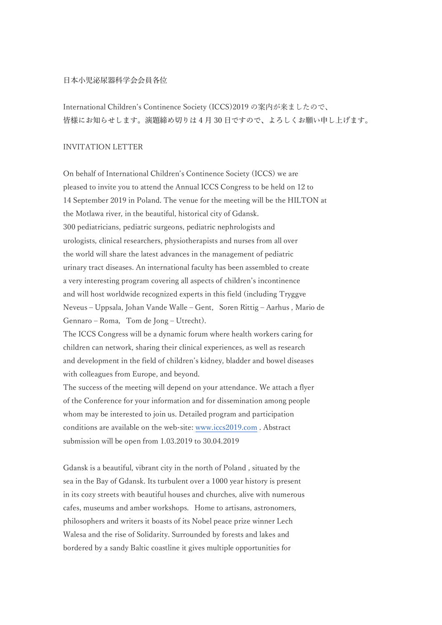## 日本小児泌尿器科学会会員各位

International Children's Continence Society (ICCS)2019 の案内が来ましたので、 皆様にお知らせします。演題締め切りは 4 ⽉ 30 ⽇ですので、よろしくお願い申し上げます。

## INVITATION LETTER

On behalf of International Children's Continence Society (ICCS) we are pleased to invite you to attend the Annual ICCS Congress to be held on 12 to 14 September 2019 in Poland. The venue for the meeting will be the HILTON at the Motlawa river, in the beautiful, historical city of Gdansk. 300 pediatricians, pediatric surgeons, pediatric nephrologists and urologists, clinical researchers, physiotherapists and nurses from all over the world will share the latest advances in the management of pediatric urinary tract diseases. An international faculty has been assembled to create a very interesting program covering all aspects of children's incontinence and will host worldwide recognized experts in this field (including Tryggve Neveus – Uppsala, Johan Vande Walle – Gent, Soren Rittig – Aarhus, Mario de Gennaro – Roma, Tom de Jong – Utrecht).

The ICCS Congress will be a dynamic forum where health workers caring for children can network, sharing their clinical experiences, as well as research and development in the field of children's kidney, bladder and bowel diseases with colleagues from Europe, and beyond.

The success of the meeting will depend on your attendance. We attach a flyer of the Conference for your information and for dissemination among people whom may be interested to join us. Detailed program and participation conditions are available on the web-site: www.iccs2019.com . Abstract submission will be open from 1.03.2019 to 30.04.2019

Gdansk is a beautiful, vibrant city in the north of Poland , situated by the sea in the Bay of Gdansk. Its turbulent over a 1000 year history is present in its cozy streets with beautiful houses and churches, alive with numerous cafes, museums and amber workshops. Home to artisans, astronomers, philosophers and writers it boasts of its Nobel peace prize winner Lech Walesa and the rise of Solidarity. Surrounded by forests and lakes and bordered by a sandy Baltic coastline it gives multiple opportunities for